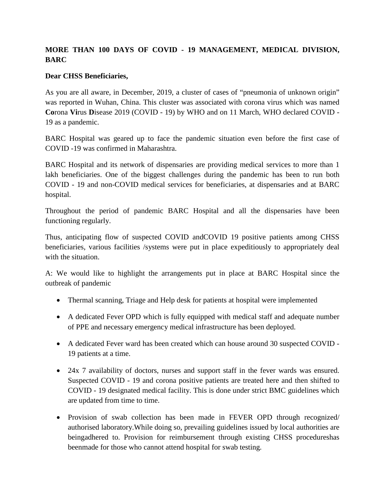## **MORE THAN 100 DAYS OF COVID - 19 MANAGEMENT, MEDICAL DIVISION, BARC**

## **Dear CHSS Beneficiaries,**

As you are all aware, in December, 2019, a cluster of cases of "pneumonia of unknown origin" was reported in Wuhan, China. This cluster was associated with corona virus which was named **Co**rona **Vi**rus **D**isease 2019 (COVID - 19) by WHO and on 11 March, WHO declared COVID - 19 as a pandemic.

BARC Hospital was geared up to face the pandemic situation even before the first case of COVID -19 was confirmed in Maharashtra.

BARC Hospital and its network of dispensaries are providing medical services to more than 1 lakh beneficiaries. One of the biggest challenges during the pandemic has been to run both COVID - 19 and non-COVID medical services for beneficiaries, at dispensaries and at BARC hospital.

Throughout the period of pandemic BARC Hospital and all the dispensaries have been functioning regularly.

Thus, anticipating flow of suspected COVID andCOVID 19 positive patients among CHSS beneficiaries, various facilities /systems were put in place expeditiously to appropriately deal with the situation.

A: We would like to highlight the arrangements put in place at BARC Hospital since the outbreak of pandemic

- Thermal scanning, Triage and Help desk for patients at hospital were implemented
- A dedicated Fever OPD which is fully equipped with medical staff and adequate number of PPE and necessary emergency medical infrastructure has been deployed.
- A dedicated Fever ward has been created which can house around 30 suspected COVID 19 patients at a time.
- 24x 7 availability of doctors, nurses and support staff in the fever wards was ensured. Suspected COVID - 19 and corona positive patients are treated here and then shifted to COVID - 19 designated medical facility. This is done under strict BMC guidelines which are updated from time to time.
- Provision of swab collection has been made in FEVER OPD through recognized/ authorised laboratory.While doing so, prevailing guidelines issued by local authorities are beingadhered to. Provision for reimbursement through existing CHSS procedureshas beenmade for those who cannot attend hospital for swab testing.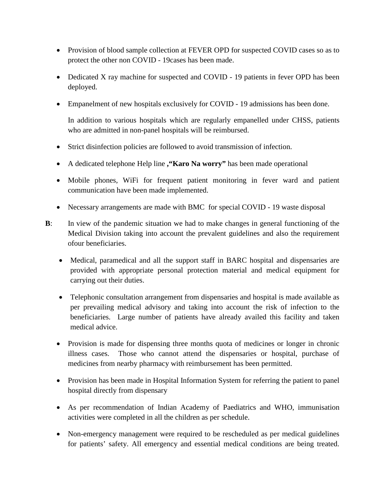- Provision of blood sample collection at FEVER OPD for suspected COVID cases so as to protect the other non COVID - 19cases has been made.
- Dedicated X ray machine for suspected and COVID 19 patients in fever OPD has been deployed.
- Empanelment of new hospitals exclusively for COVID 19 admissions has been done.

In addition to various hospitals which are regularly empanelled under CHSS, patients who are admitted in non-panel hospitals will be reimbursed.

- Strict disinfection policies are followed to avoid transmission of infection.
- A dedicated telephone Help line **,"Karo Na worry"** has been made operational
- Mobile phones, WiFi for frequent patient monitoring in fever ward and patient communication have been made implemented.
- Necessary arrangements are made with BMC for special COVID 19 waste disposal
- **B**: In view of the pandemic situation we had to make changes in general functioning of the Medical Division taking into account the prevalent guidelines and also the requirement ofour beneficiaries.
	- Medical, paramedical and all the support staff in BARC hospital and dispensaries are provided with appropriate personal protection material and medical equipment for carrying out their duties.
	- Telephonic consultation arrangement from dispensaries and hospital is made available as per prevailing medical advisory and taking into account the risk of infection to the beneficiaries. Large number of patients have already availed this facility and taken medical advice.
	- Provision is made for dispensing three months quota of medicines or longer in chronic illness cases. Those who cannot attend the dispensaries or hospital, purchase of medicines from nearby pharmacy with reimbursement has been permitted.
	- Provision has been made in Hospital Information System for referring the patient to panel hospital directly from dispensary
	- As per recommendation of Indian Academy of Paediatrics and WHO, immunisation activities were completed in all the children as per schedule.
	- Non-emergency management were required to be rescheduled as per medical guidelines for patients' safety. All emergency and essential medical conditions are being treated.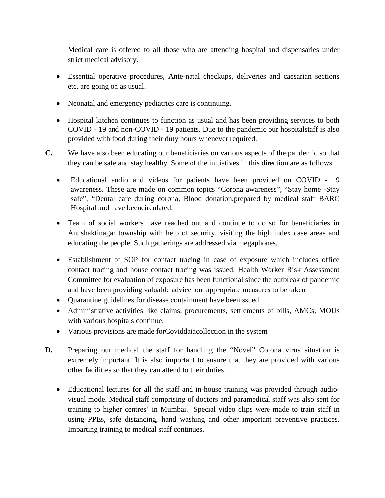Medical care is offered to all those who are attending hospital and dispensaries under strict medical advisory.

- Essential operative procedures, Ante-natal checkups, deliveries and caesarian sections etc. are going on as usual.
- Neonatal and emergency pediatrics care is continuing.
- Hospital kitchen continues to function as usual and has been providing services to both COVID - 19 and non-COVID - 19 patients. Due to the pandemic our hospitalstaff is also provided with food during their duty hours whenever required.
- **C.** We have also been educating our beneficiaries on various aspects of the pandemic so that they can be safe and stay healthy. Some of the initiatives in this direction are as follows.
	- Educational audio and videos for patients have been provided on COVID 19 awareness. These are made on common topics "Corona awareness", "Stay home -Stay safe", "Dental care during corona, Blood donation,prepared by medical staff BARC Hospital and have beencirculated.
	- Team of social workers have reached out and continue to do so for beneficiaries in Anushaktinagar township with help of security, visiting the high index case areas and educating the people. Such gatherings are addressed via megaphones.
	- Establishment of SOP for contact tracing in case of exposure which includes office contact tracing and house contact tracing was issued. Health Worker Risk Assessment Committee for evaluation of exposure has been functional since the outbreak of pandemic and have been providing valuable advice on appropriate measures to be taken
	- Quarantine guidelines for disease containment have beenissued.
	- Administrative activities like claims, procurements, settlements of bills, AMCs, MOUs with various hospitals continue.
	- Various provisions are made forCoviddatacollection in the system
- **D.** Preparing our medical the staff for handling the "Novel" Corona virus situation is extremely important. It is also important to ensure that they are provided with various other facilities so that they can attend to their duties.
	- Educational lectures for all the staff and in-house training was provided through audiovisual mode. Medical staff comprising of doctors and paramedical staff was also sent for training to higher centres' in Mumbai. Special video clips were made to train staff in using PPEs, safe distancing, hand washing and other important preventive practices. Imparting training to medical staff continues.